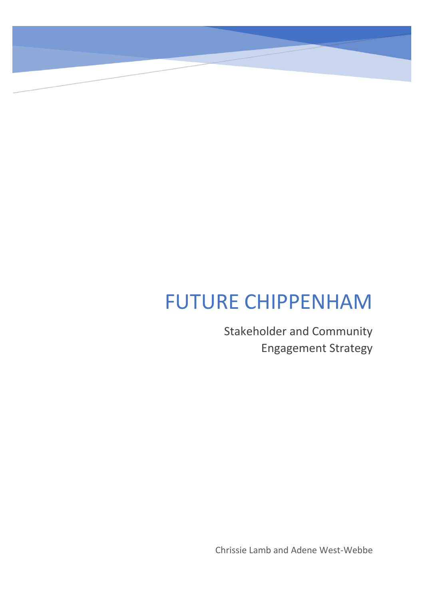# FUTURE CHIPPENHAM

Stakeholder and Community Engagement Strategy

Chrissie Lamb and Adene West-Webbe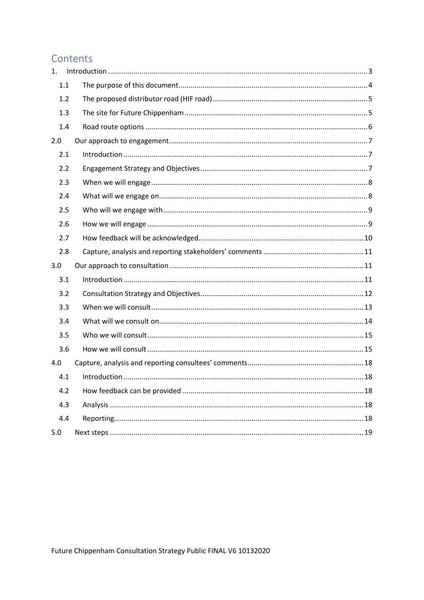# Contents

| 1.  |  |
|-----|--|
| 1.1 |  |
| 1.2 |  |
| 1.3 |  |
| 1.4 |  |
| 2.0 |  |
| 2.1 |  |
| 2.2 |  |
| 2.3 |  |
| 2.4 |  |
| 2.5 |  |
| 2.6 |  |
| 2.7 |  |
| 2.8 |  |
| 3.0 |  |
| 3.1 |  |
| 3.2 |  |
| 3.3 |  |
| 3.4 |  |
| 3.5 |  |
| 3.6 |  |
| 4.0 |  |
| 4.1 |  |
| 4.2 |  |
| 4.3 |  |
| 4.4 |  |
| 5.0 |  |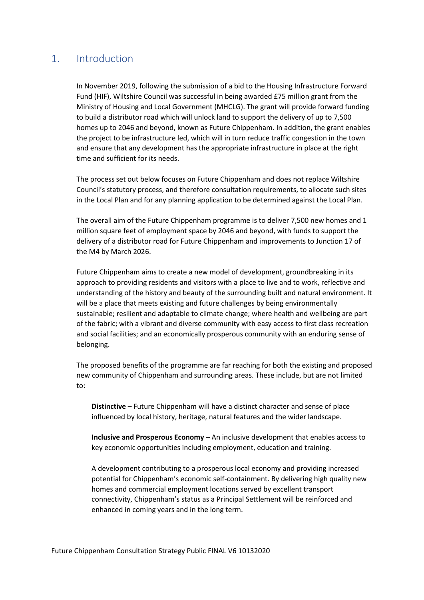# <span id="page-2-0"></span>1. Introduction

In November 2019, following the submission of a bid to the Housing Infrastructure Forward Fund (HIF), Wiltshire Council was successful in being awarded £75 million grant from the Ministry of Housing and Local Government (MHCLG). The grant will provide forward funding to build a distributor road which will unlock land to support the delivery of up to 7,500 homes up to 2046 and beyond, known as Future Chippenham. In addition, the grant enables the project to be infrastructure led, which will in turn reduce traffic congestion in the town and ensure that any development has the appropriate infrastructure in place at the right time and sufficient for its needs.

The process set out below focuses on Future Chippenham and does not replace Wiltshire Council's statutory process, and therefore consultation requirements, to allocate such sites in the Local Plan and for any planning application to be determined against the Local Plan.

The overall aim of the Future Chippenham programme is to deliver 7,500 new homes and 1 million square feet of employment space by 2046 and beyond, with funds to support the delivery of a distributor road for Future Chippenham and improvements to Junction 17 of the M4 by March 2026.

Future Chippenham aims to create a new model of development, groundbreaking in its approach to providing residents and visitors with a place to live and to work, reflective and understanding of the history and beauty of the surrounding built and natural environment. It will be a place that meets existing and future challenges by being environmentally sustainable; resilient and adaptable to climate change; where health and wellbeing are part of the fabric; with a vibrant and diverse community with easy access to first class recreation and social facilities; and an economically prosperous community with an enduring sense of belonging.

The proposed benefits of the programme are far reaching for both the existing and proposed new community of Chippenham and surrounding areas. These include, but are not limited to:

**Distinctive** – Future Chippenham will have a distinct character and sense of place influenced by local history, heritage, natural features and the wider landscape.

**Inclusive and Prosperous Economy** – An inclusive development that enables access to key economic opportunities including employment, education and training.

A development contributing to a prosperous local economy and providing increased potential for Chippenham's economic self-containment. By delivering high quality new homes and commercial employment locations served by excellent transport connectivity, Chippenham's status as a Principal Settlement will be reinforced and enhanced in coming years and in the long term.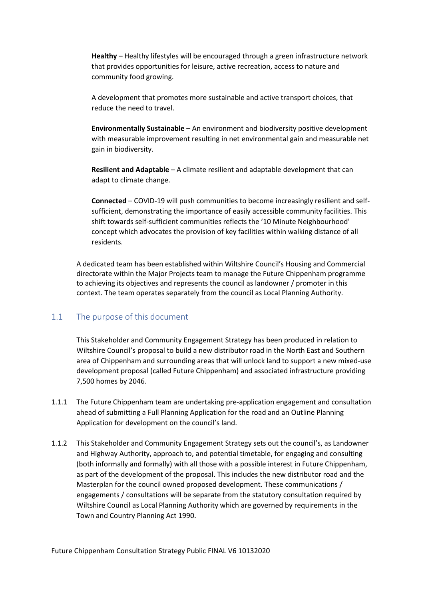**Healthy** – Healthy lifestyles will be encouraged through a green infrastructure network that provides opportunities for leisure, active recreation, access to nature and community food growing.

A development that promotes more sustainable and active transport choices, that reduce the need to travel.

**Environmentally Sustainable** – An environment and biodiversity positive development with measurable improvement resulting in net environmental gain and measurable net gain in biodiversity.

**Resilient and Adaptable** – A climate resilient and adaptable development that can adapt to climate change.

**Connected** – COVID-19 will push communities to become increasingly resilient and selfsufficient, demonstrating the importance of easily accessible community facilities. This shift towards self-sufficient communities reflects the '10 Minute Neighbourhood' concept which advocates the provision of key facilities within walking distance of all residents.

A dedicated team has been established within Wiltshire Council's Housing and Commercial directorate within the Major Projects team to manage the Future Chippenham programme to achieving its objectives and represents the council as landowner / promoter in this context. The team operates separately from the council as Local Planning Authority.

## <span id="page-3-0"></span>1.1 The purpose of this document

This Stakeholder and Community Engagement Strategy has been produced in relation to Wiltshire Council's proposal to build a new distributor road in the North East and Southern area of Chippenham and surrounding areas that will unlock land to support a new mixed-use development proposal (called Future Chippenham) and associated infrastructure providing 7,500 homes by 2046.

- 1.1.1 The Future Chippenham team are undertaking pre-application engagement and consultation ahead of submitting a Full Planning Application for the road and an Outline Planning Application for development on the council's land.
- 1.1.2 This Stakeholder and Community Engagement Strategy sets out the council's, as Landowner and Highway Authority, approach to, and potential timetable, for engaging and consulting (both informally and formally) with all those with a possible interest in Future Chippenham, as part of the development of the proposal. This includes the new distributor road and the Masterplan for the council owned proposed development. These communications / engagements / consultations will be separate from the statutory consultation required by Wiltshire Council as Local Planning Authority which are governed by requirements in the Town and Country Planning Act 1990.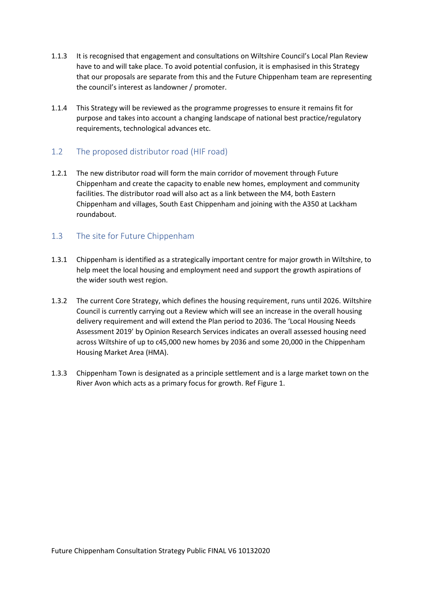- 1.1.3 It is recognised that engagement and consultations on Wiltshire Council's Local Plan Review have to and will take place. To avoid potential confusion, it is emphasised in this Strategy that our proposals are separate from this and the Future Chippenham team are representing the council's interest as landowner / promoter.
- 1.1.4 This Strategy will be reviewed as the programme progresses to ensure it remains fit for purpose and takes into account a changing landscape of national best practice/regulatory requirements, technological advances etc.

## <span id="page-4-0"></span>1.2 The proposed distributor road (HIF road)

1.2.1 The new distributor road will form the main corridor of movement through Future Chippenham and create the capacity to enable new homes, employment and community facilities. The distributor road will also act as a link between the M4, both Eastern Chippenham and villages, South East Chippenham and joining with the A350 at Lackham roundabout.

## <span id="page-4-1"></span>1.3 The site for Future Chippenham

- 1.3.1 Chippenham is identified as a strategically important centre for major growth in Wiltshire, to help meet the local housing and employment need and support the growth aspirations of the wider south west region.
- 1.3.2 The current Core Strategy, which defines the housing requirement, runs until 2026. Wiltshire Council is currently carrying out a Review which will see an increase in the overall housing delivery requirement and will extend the Plan period to 2036. The 'Local Housing Needs Assessment 2019' by Opinion Research Services indicates an overall assessed housing need across Wiltshire of up to c45,000 new homes by 2036 and some 20,000 in the Chippenham Housing Market Area (HMA).
- 1.3.3 Chippenham Town is designated as a principle settlement and is a large market town on the River Avon which acts as a primary focus for growth. Ref Figure 1.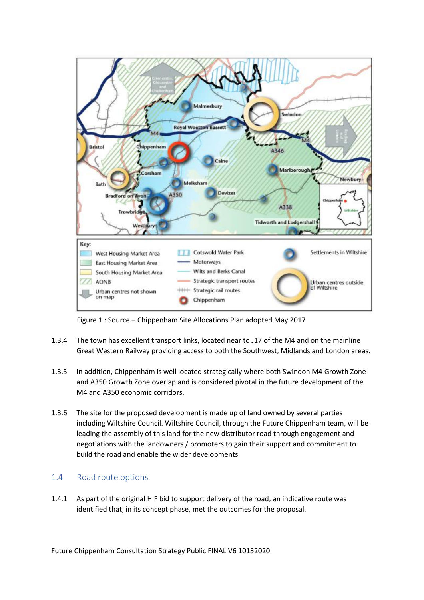

Figure 1 : Source – Chippenham Site Allocations Plan adopted May 2017

- 1.3.4 The town has excellent transport links, located near to J17 of the M4 and on the mainline Great Western Railway providing access to both the Southwest, Midlands and London areas.
- 1.3.5 In addition, Chippenham is well located strategically where both Swindon M4 Growth Zone and A350 Growth Zone overlap and is considered pivotal in the future development of the M4 and A350 economic corridors.
- 1.3.6 The site for the proposed development is made up of land owned by several parties including Wiltshire Council. Wiltshire Council, through the Future Chippenham team, will be leading the assembly of this land for the new distributor road through engagement and negotiations with the landowners / promoters to gain their support and commitment to build the road and enable the wider developments.

# <span id="page-5-0"></span>1.4 Road route options

1.4.1 As part of the original HIF bid to support delivery of the road, an indicative route was identified that, in its concept phase, met the outcomes for the proposal.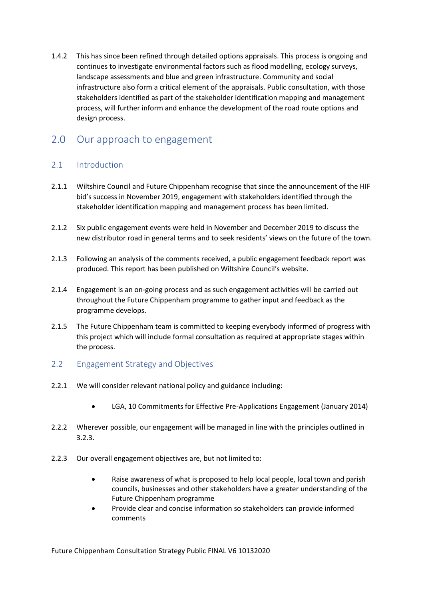1.4.2 This has since been refined through detailed options appraisals. This process is ongoing and continues to investigate environmental factors such as flood modelling, ecology surveys, landscape assessments and blue and green infrastructure. Community and social infrastructure also form a critical element of the appraisals. Public consultation, with those stakeholders identified as part of the stakeholder identification mapping and management process, will further inform and enhance the development of the road route options and design process.

# <span id="page-6-0"></span>2.0 Our approach to engagement

# <span id="page-6-1"></span>2.1 Introduction

- 2.1.1 Wiltshire Council and Future Chippenham recognise that since the announcement of the HIF bid's success in November 2019, engagement with stakeholders identified through the stakeholder identification mapping and management process has been limited.
- 2.1.2 Six public engagement events were held in November and December 2019 to discuss the new distributor road in general terms and to seek residents' views on the future of the town.
- 2.1.3 Following an analysis of the comments received, a public engagement feedback report was produced. This report has been published on Wiltshire Council's website.
- 2.1.4 Engagement is an on-going process and as such engagement activities will be carried out throughout the Future Chippenham programme to gather input and feedback as the programme develops.
- 2.1.5 The Future Chippenham team is committed to keeping everybody informed of progress with this project which will include formal consultation as required at appropriate stages within the process.
- <span id="page-6-2"></span>2.2 Engagement Strategy and Objectives
- 2.2.1 We will consider relevant national policy and guidance including:
	- LGA, 10 Commitments for Effective Pre-Applications Engagement (January 2014)
- 2.2.2 Wherever possible, our engagement will be managed in line with the principles outlined in 3.2.3.
- 2.2.3 Our overall engagement objectives are, but not limited to:
	- Raise awareness of what is proposed to help local people, local town and parish councils, businesses and other stakeholders have a greater understanding of the Future Chippenham programme
	- Provide clear and concise information so stakeholders can provide informed comments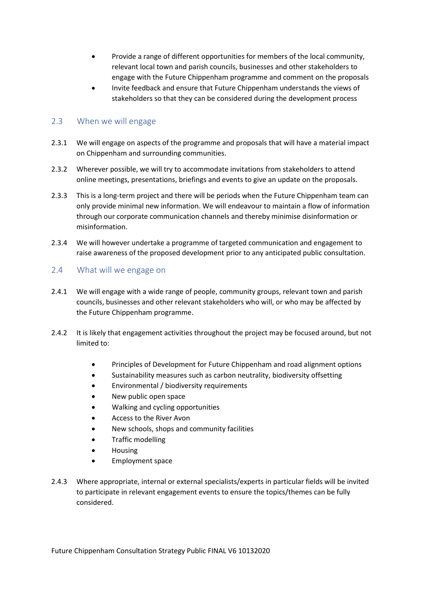- Provide a range of different opportunities for members of the local community, relevant local town and parish councils, businesses and other stakeholders to engage with the Future Chippenham programme and comment on the proposals
- Invite feedback and ensure that Future Chippenham understands the views of stakeholders so that they can be considered during the development process

## <span id="page-7-0"></span>2.3 When we will engage

- 2.3.1 We will engage on aspects of the programme and proposals that will have a material impact on Chippenham and surrounding communities.
- 2.3.2 Wherever possible, we will try to accommodate invitations from stakeholders to attend online meetings, presentations, briefings and events to give an update on the proposals.
- 2.3.3 This is a long-term project and there will be periods when the Future Chippenham team can only provide minimal new information. We will endeavour to maintain a flow of information through our corporate communication channels and thereby minimise disinformation or misinformation.
- 2.3.4 We will however undertake a programme of targeted communication and engagement to raise awareness of the proposed development prior to any anticipated public consultation.

## <span id="page-7-1"></span>2.4 What will we engage on

- 2.4.1 We will engage with a wide range of people, community groups, relevant town and parish councils, businesses and other relevant stakeholders who will, or who may be affected by the Future Chippenham programme.
- 2.4.2 It is likely that engagement activities throughout the project may be focused around, but not limited to:
	- Principles of Development for Future Chippenham and road alignment options
	- Sustainability measures such as carbon neutrality, biodiversity offsetting
	- Environmental / biodiversity requirements
	- New public open space
	- Walking and cycling opportunities
	- Access to the River Avon
	- New schools, shops and community facilities
	- Traffic modelling
	- Housing
	- Employment space
- 2.4.3 Where appropriate, internal or external specialists/experts in particular fields will be invited to participate in relevant engagement events to ensure the topics/themes can be fully considered.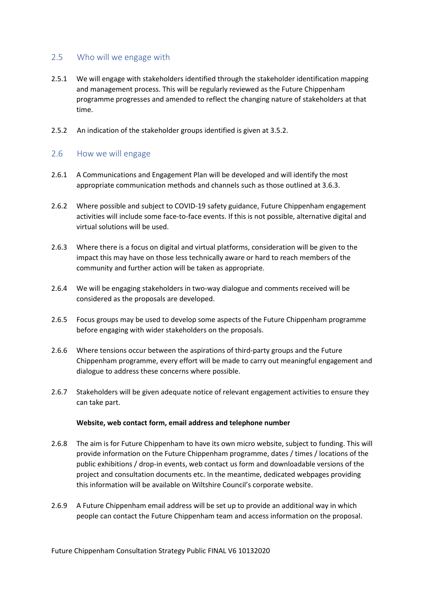## <span id="page-8-0"></span>2.5 Who will we engage with

- 2.5.1 We will engage with stakeholders identified through the stakeholder identification mapping and management process. This will be regularly reviewed as the Future Chippenham programme progresses and amended to reflect the changing nature of stakeholders at that time.
- 2.5.2 An indication of the stakeholder groups identified is given at 3.5.2.

## <span id="page-8-1"></span>2.6 How we will engage

- 2.6.1 A Communications and Engagement Plan will be developed and will identify the most appropriate communication methods and channels such as those outlined at 3.6.3.
- 2.6.2 Where possible and subject to COVID-19 safety guidance, Future Chippenham engagement activities will include some face-to-face events. If this is not possible, alternative digital and virtual solutions will be used.
- 2.6.3 Where there is a focus on digital and virtual platforms, consideration will be given to the impact this may have on those less technically aware or hard to reach members of the community and further action will be taken as appropriate.
- 2.6.4 We will be engaging stakeholders in two-way dialogue and comments received will be considered as the proposals are developed.
- 2.6.5 Focus groups may be used to develop some aspects of the Future Chippenham programme before engaging with wider stakeholders on the proposals.
- 2.6.6 Where tensions occur between the aspirations of third-party groups and the Future Chippenham programme, every effort will be made to carry out meaningful engagement and dialogue to address these concerns where possible.
- 2.6.7 Stakeholders will be given adequate notice of relevant engagement activities to ensure they can take part.

#### **Website, web contact form, email address and telephone number**

- 2.6.8 The aim is for Future Chippenham to have its own micro website, subject to funding. This will provide information on the Future Chippenham programme, dates / times / locations of the public exhibitions / drop-in events, web contact us form and downloadable versions of the project and consultation documents etc. In the meantime, dedicated webpages providing this information will be available on Wiltshire Council's corporate website.
- 2.6.9 A Future Chippenham email address will be set up to provide an additional way in which people can contact the Future Chippenham team and access information on the proposal.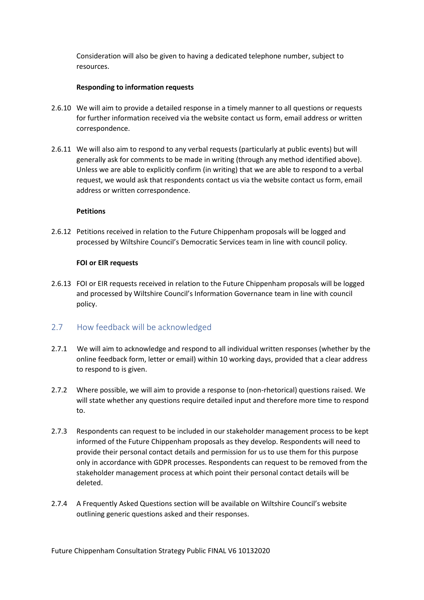Consideration will also be given to having a dedicated telephone number, subject to resources.

### **Responding to information requests**

- 2.6.10 We will aim to provide a detailed response in a timely manner to all questions or requests for further information received via the website contact us form, email address or written correspondence.
- 2.6.11 We will also aim to respond to any verbal requests (particularly at public events) but will generally ask for comments to be made in writing (through any method identified above). Unless we are able to explicitly confirm (in writing) that we are able to respond to a verbal request, we would ask that respondents contact us via the website contact us form, email address or written correspondence.

### **Petitions**

2.6.12 Petitions received in relation to the Future Chippenham proposals will be logged and processed by Wiltshire Council's Democratic Services team in line with council policy.

### **FOI or EIR requests**

2.6.13 FOI or EIR requests received in relation to the Future Chippenham proposals will be logged and processed by Wiltshire Council's Information Governance team in line with council policy.

# <span id="page-9-0"></span>2.7 How feedback will be acknowledged

- 2.7.1 We will aim to acknowledge and respond to all individual written responses (whether by the online feedback form, letter or email) within 10 working days, provided that a clear address to respond to is given.
- 2.7.2 Where possible, we will aim to provide a response to (non-rhetorical) questions raised. We will state whether any questions require detailed input and therefore more time to respond to.
- 2.7.3 Respondents can request to be included in our stakeholder management process to be kept informed of the Future Chippenham proposals as they develop. Respondents will need to provide their personal contact details and permission for us to use them for this purpose only in accordance with GDPR processes. Respondents can request to be removed from the stakeholder management process at which point their personal contact details will be deleted.
- 2.7.4 A Frequently Asked Questions section will be available on Wiltshire Council's website outlining generic questions asked and their responses.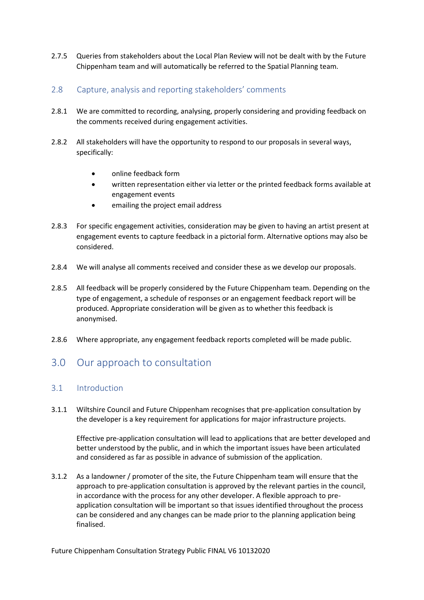2.7.5 Queries from stakeholders about the Local Plan Review will not be dealt with by the Future Chippenham team and will automatically be referred to the Spatial Planning team.

## <span id="page-10-0"></span>2.8 Capture, analysis and reporting stakeholders' comments

- 2.8.1 We are committed to recording, analysing, properly considering and providing feedback on the comments received during engagement activities.
- 2.8.2 All stakeholders will have the opportunity to respond to our proposals in several ways, specifically:
	- online feedback form
	- written representation either via letter or the printed feedback forms available at engagement events
	- emailing the project email address
- 2.8.3 For specific engagement activities, consideration may be given to having an artist present at engagement events to capture feedback in a pictorial form. Alternative options may also be considered.
- 2.8.4 We will analyse all comments received and consider these as we develop our proposals.
- 2.8.5 All feedback will be properly considered by the Future Chippenham team. Depending on the type of engagement, a schedule of responses or an engagement feedback report will be produced. Appropriate consideration will be given as to whether this feedback is anonymised.
- 2.8.6 Where appropriate, any engagement feedback reports completed will be made public.

# <span id="page-10-1"></span>3.0 Our approach to consultation

# <span id="page-10-2"></span>3.1 Introduction

3.1.1 Wiltshire Council and Future Chippenham recognises that pre-application consultation by the developer is a key requirement for applications for major infrastructure projects.

Effective pre-application consultation will lead to applications that are better developed and better understood by the public, and in which the important issues have been articulated and considered as far as possible in advance of submission of the application.

3.1.2 As a landowner / promoter of the site, the Future Chippenham team will ensure that the approach to pre-application consultation is approved by the relevant parties in the council, in accordance with the process for any other developer. A flexible approach to preapplication consultation will be important so that issues identified throughout the process can be considered and any changes can be made prior to the planning application being finalised.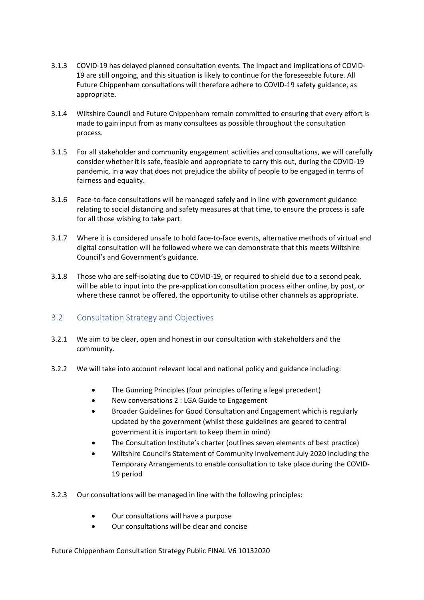- 3.1.3 COVID-19 has delayed planned consultation events. The impact and implications of COVID-19 are still ongoing, and this situation is likely to continue for the foreseeable future. All Future Chippenham consultations will therefore adhere to COVID-19 safety guidance, as appropriate.
- 3.1.4 Wiltshire Council and Future Chippenham remain committed to ensuring that every effort is made to gain input from as many consultees as possible throughout the consultation process.
- 3.1.5 For all stakeholder and community engagement activities and consultations, we will carefully consider whether it is safe, feasible and appropriate to carry this out, during the COVID-19 pandemic, in a way that does not prejudice the ability of people to be engaged in terms of fairness and equality.
- 3.1.6 Face-to-face consultations will be managed safely and in line with government guidance relating to social distancing and safety measures at that time, to ensure the process is safe for all those wishing to take part.
- 3.1.7 Where it is considered unsafe to hold face-to-face events, alternative methods of virtual and digital consultation will be followed where we can demonstrate that this meets Wiltshire Council's and Government's guidance.
- 3.1.8 Those who are self-isolating due to COVID-19, or required to shield due to a second peak, will be able to input into the pre-application consultation process either online, by post, or where these cannot be offered, the opportunity to utilise other channels as appropriate.

# <span id="page-11-0"></span>3.2 Consultation Strategy and Objectives

- 3.2.1 We aim to be clear, open and honest in our consultation with stakeholders and the community.
- 3.2.2 We will take into account relevant local and national policy and guidance including:
	- The Gunning Principles (four principles offering a legal precedent)
	- New conversations 2 : LGA Guide to Engagement
	- Broader Guidelines for Good Consultation and Engagement which is regularly updated by the government (whilst these guidelines are geared to central government it is important to keep them in mind)
	- The Consultation Institute's charter (outlines seven elements of best practice)
	- Wiltshire Council's Statement of Community Involvement July 2020 including the Temporary Arrangements to enable consultation to take place during the COVID-19 period
- 3.2.3 Our consultations will be managed in line with the following principles:
	- Our consultations will have a purpose
	- Our consultations will be clear and concise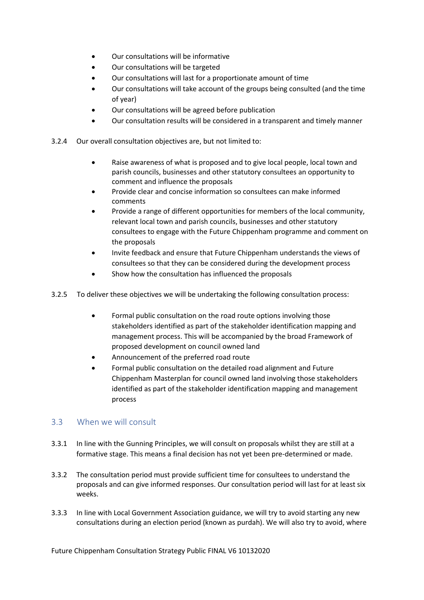- Our consultations will be informative
- Our consultations will be targeted
- Our consultations will last for a proportionate amount of time
- Our consultations will take account of the groups being consulted (and the time of year)
- Our consultations will be agreed before publication
- Our consultation results will be considered in a transparent and timely manner
- 3.2.4 Our overall consultation objectives are, but not limited to:
	- Raise awareness of what is proposed and to give local people, local town and parish councils, businesses and other statutory consultees an opportunity to comment and influence the proposals
	- Provide clear and concise information so consultees can make informed comments
	- Provide a range of different opportunities for members of the local community, relevant local town and parish councils, businesses and other statutory consultees to engage with the Future Chippenham programme and comment on the proposals
	- Invite feedback and ensure that Future Chippenham understands the views of consultees so that they can be considered during the development process
	- Show how the consultation has influenced the proposals
- 3.2.5 To deliver these objectives we will be undertaking the following consultation process:
	- Formal public consultation on the road route options involving those stakeholders identified as part of the stakeholder identification mapping and management process. This will be accompanied by the broad Framework of proposed development on council owned land
	- Announcement of the preferred road route
	- Formal public consultation on the detailed road alignment and Future Chippenham Masterplan for council owned land involving those stakeholders identified as part of the stakeholder identification mapping and management process

## <span id="page-12-0"></span>3.3 When we will consult

- 3.3.1 In line with the Gunning Principles, we will consult on proposals whilst they are still at a formative stage. This means a final decision has not yet been pre-determined or made.
- 3.3.2 The consultation period must provide sufficient time for consultees to understand the proposals and can give informed responses. Our consultation period will last for at least six weeks.
- 3.3.3 In line with Local Government Association guidance, we will try to avoid starting any new consultations during an election period (known as purdah). We will also try to avoid, where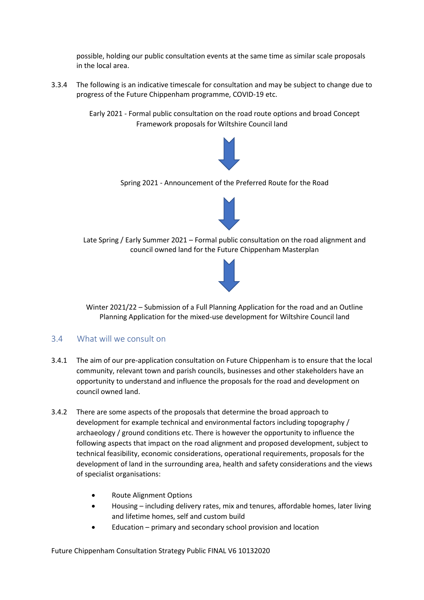possible, holding our public consultation events at the same time as similar scale proposals in the local area.

3.3.4 The following is an indicative timescale for consultation and may be subject to change due to progress of the Future Chippenham programme, COVID-19 etc.

> Early 2021 - Formal public consultation on the road route options and broad Concept Framework proposals for Wiltshire Council land



Spring 2021 - Announcement of the Preferred Route for the Road



Late Spring / Early Summer 2021 – Formal public consultation on the road alignment and council owned land for the Future Chippenham Masterplan



Winter 2021/22 – Submission of a Full Planning Application for the road and an Outline Planning Application for the mixed-use development for Wiltshire Council land

## <span id="page-13-0"></span>3.4 What will we consult on

- 3.4.1 The aim of our pre-application consultation on Future Chippenham is to ensure that the local community, relevant town and parish councils, businesses and other stakeholders have an opportunity to understand and influence the proposals for the road and development on council owned land.
- 3.4.2 There are some aspects of the proposals that determine the broad approach to development for example technical and environmental factors including topography / archaeology / ground conditions etc. There is however the opportunity to influence the following aspects that impact on the road alignment and proposed development, subject to technical feasibility, economic considerations, operational requirements, proposals for the development of land in the surrounding area, health and safety considerations and the views of specialist organisations:
	- Route Alignment Options
	- Housing including delivery rates, mix and tenures, affordable homes, later living and lifetime homes, self and custom build
	- Education primary and secondary school provision and location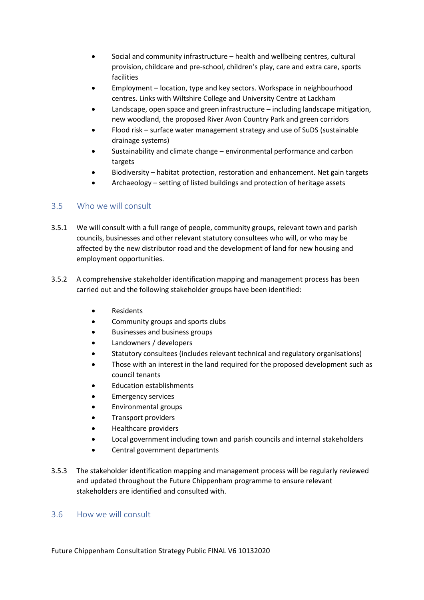- Social and community infrastructure health and wellbeing centres, cultural provision, childcare and pre-school, children's play, care and extra care, sports facilities
- Employment location, type and key sectors. Workspace in neighbourhood centres. Links with Wiltshire College and University Centre at Lackham
- Landscape, open space and green infrastructure including landscape mitigation, new woodland, the proposed River Avon Country Park and green corridors
- Flood risk surface water management strategy and use of SuDS (sustainable drainage systems)
- Sustainability and climate change environmental performance and carbon targets
- Biodiversity habitat protection, restoration and enhancement. Net gain targets
- Archaeology setting of listed buildings and protection of heritage assets

# <span id="page-14-0"></span>3.5 Who we will consult

- 3.5.1 We will consult with a full range of people, community groups, relevant town and parish councils, businesses and other relevant statutory consultees who will, or who may be affected by the new distributor road and the development of land for new housing and employment opportunities.
- 3.5.2 A comprehensive stakeholder identification mapping and management process has been carried out and the following stakeholder groups have been identified:
	- Residents
	- Community groups and sports clubs
	- Businesses and business groups
	- Landowners / developers
	- Statutory consultees (includes relevant technical and regulatory organisations)
	- Those with an interest in the land required for the proposed development such as council tenants
	- Education establishments
	- Emergency services
	- Environmental groups
	- Transport providers
	- Healthcare providers
	- Local government including town and parish councils and internal stakeholders
	- Central government departments
- 3.5.3 The stakeholder identification mapping and management process will be regularly reviewed and updated throughout the Future Chippenham programme to ensure relevant stakeholders are identified and consulted with.

## <span id="page-14-1"></span>3.6 How we will consult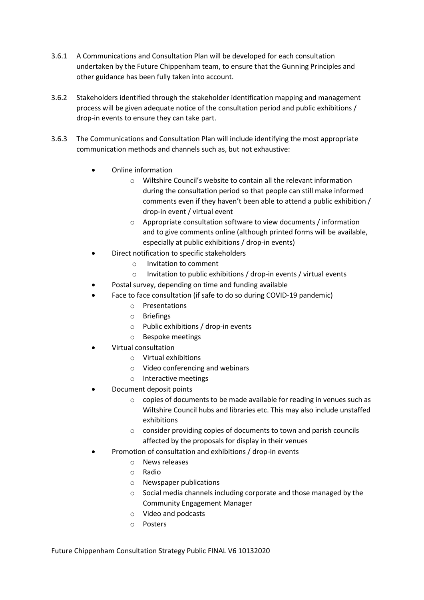- 3.6.1 A Communications and Consultation Plan will be developed for each consultation undertaken by the Future Chippenham team, to ensure that the Gunning Principles and other guidance has been fully taken into account.
- 3.6.2 Stakeholders identified through the stakeholder identification mapping and management process will be given adequate notice of the consultation period and public exhibitions / drop-in events to ensure they can take part.
- 3.6.3 The Communications and Consultation Plan will include identifying the most appropriate communication methods and channels such as, but not exhaustive:
	- Online information
		- o Wiltshire Council's website to contain all the relevant information during the consultation period so that people can still make informed comments even if they haven't been able to attend a public exhibition / drop-in event / virtual event
		- o Appropriate consultation software to view documents / information and to give comments online (although printed forms will be available, especially at public exhibitions / drop-in events)
	- Direct notification to specific stakeholders
		- o Invitation to comment
		- o Invitation to public exhibitions / drop-in events / virtual events
	- Postal survey, depending on time and funding available
	- Face to face consultation (if safe to do so during COVID-19 pandemic)
		- o Presentations
		- o Briefings
		- o Public exhibitions / drop-in events
		- o Bespoke meetings
	- Virtual consultation
		- o Virtual exhibitions
		- o Video conferencing and webinars
		- o Interactive meetings
	- Document deposit points
		- o copies of documents to be made available for reading in venues such as Wiltshire Council hubs and libraries etc. This may also include unstaffed exhibitions
		- o consider providing copies of documents to town and parish councils affected by the proposals for display in their venues
	- Promotion of consultation and exhibitions / drop-in events
		- o News releases
		- o Radio
		- o Newspaper publications
		- o Social media channels including corporate and those managed by the Community Engagement Manager
		- o Video and podcasts
		- o Posters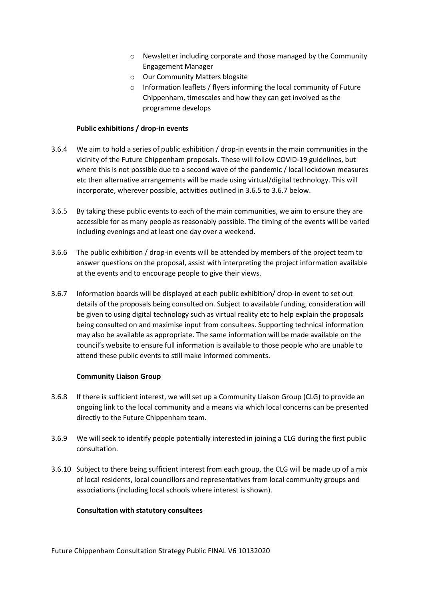- o Newsletter including corporate and those managed by the Community Engagement Manager
- o Our Community Matters blogsite
- o Information leaflets / flyers informing the local community of Future Chippenham, timescales and how they can get involved as the programme develops

#### **Public exhibitions / drop-in events**

- 3.6.4 We aim to hold a series of public exhibition / drop-in events in the main communities in the vicinity of the Future Chippenham proposals. These will follow COVID-19 guidelines, but where this is not possible due to a second wave of the pandemic / local lockdown measures etc then alternative arrangements will be made using virtual/digital technology. This will incorporate, wherever possible, activities outlined in 3.6.5 to 3.6.7 below.
- 3.6.5 By taking these public events to each of the main communities, we aim to ensure they are accessible for as many people as reasonably possible. The timing of the events will be varied including evenings and at least one day over a weekend.
- 3.6.6 The public exhibition / drop-in events will be attended by members of the project team to answer questions on the proposal, assist with interpreting the project information available at the events and to encourage people to give their views.
- 3.6.7 Information boards will be displayed at each public exhibition/ drop-in event to set out details of the proposals being consulted on. Subject to available funding, consideration will be given to using digital technology such as virtual reality etc to help explain the proposals being consulted on and maximise input from consultees. Supporting technical information may also be available as appropriate. The same information will be made available on the council's website to ensure full information is available to those people who are unable to attend these public events to still make informed comments.

#### **Community Liaison Group**

- 3.6.8 If there is sufficient interest, we will set up a Community Liaison Group (CLG) to provide an ongoing link to the local community and a means via which local concerns can be presented directly to the Future Chippenham team.
- 3.6.9 We will seek to identify people potentially interested in joining a CLG during the first public consultation.
- 3.6.10 Subject to there being sufficient interest from each group, the CLG will be made up of a mix of local residents, local councillors and representatives from local community groups and associations (including local schools where interest is shown).

#### **Consultation with statutory consultees**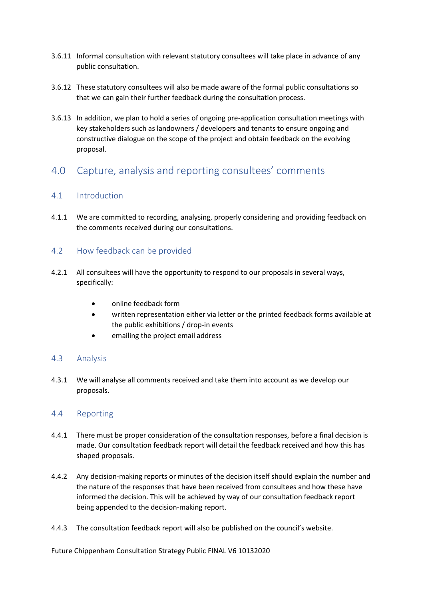- 3.6.11 Informal consultation with relevant statutory consultees will take place in advance of any public consultation.
- 3.6.12 These statutory consultees will also be made aware of the formal public consultations so that we can gain their further feedback during the consultation process.
- 3.6.13 In addition, we plan to hold a series of ongoing pre-application consultation meetings with key stakeholders such as landowners / developers and tenants to ensure ongoing and constructive dialogue on the scope of the project and obtain feedback on the evolving proposal.

# <span id="page-17-0"></span>4.0 Capture, analysis and reporting consultees' comments

# <span id="page-17-1"></span>4.1 Introduction

4.1.1 We are committed to recording, analysing, properly considering and providing feedback on the comments received during our consultations.

# <span id="page-17-2"></span>4.2 How feedback can be provided

- 4.2.1 All consultees will have the opportunity to respond to our proposals in several ways, specifically:
	- online feedback form
	- written representation either via letter or the printed feedback forms available at the public exhibitions / drop-in events
	- emailing the project email address

# <span id="page-17-3"></span>4.3 Analysis

4.3.1 We will analyse all comments received and take them into account as we develop our proposals.

## <span id="page-17-4"></span>4.4 Reporting

- 4.4.1 There must be proper consideration of the consultation responses, before a final decision is made. Our consultation feedback report will detail the feedback received and how this has shaped proposals.
- 4.4.2 Any decision-making reports or minutes of the decision itself should explain the number and the nature of the responses that have been received from consultees and how these have informed the decision. This will be achieved by way of our consultation feedback report being appended to the decision-making report.
- 4.4.3 The consultation feedback report will also be published on the council's website.